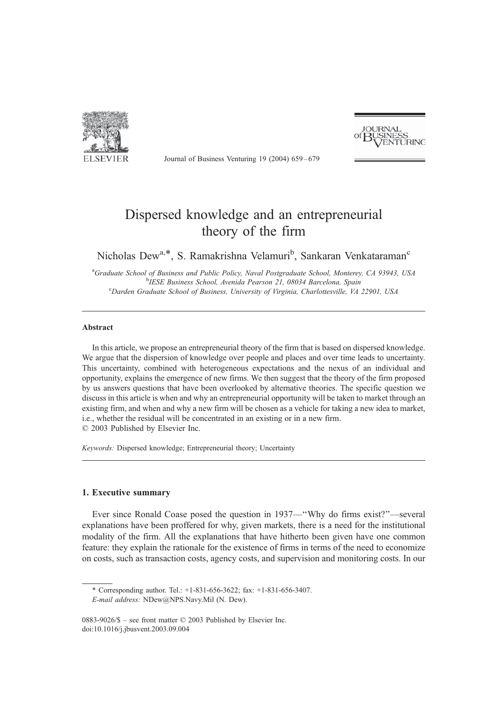

Journal of Business Venturing 19 (2004) 659 – 679



# Dispersed knowledge and an entrepreneurial theory of the firm

Nicholas Dew<sup>a,\*</sup>, S. Ramakrishna Velamuri<sup>b</sup>, Sankaran Venkataraman<sup>c</sup>

<sup>a</sup> Graduate School of Business and Public Policy, Naval Postgraduate School, Monterey, CA 93943, USA<br><sup>b</sup>UESE Business School, Avanida Pearson 21, 08034 Barcelona, Spain <sup>b</sup>IESE Business School, Avenida Pearson 21, 08034 Barcelona, Spain Darden Graduate School of Business, University of Virginia, Charlottesville, VA 22901, USA

# Abstract

In this article, we propose an entrepreneurial theory of the firm that is based on dispersed knowledge. We argue that the dispersion of knowledge over people and places and over time leads to uncertainty. This uncertainty, combined with heterogeneous expectations and the nexus of an individual and opportunity, explains the emergence of new firms. We then suggest that the theory of the firm proposed by us answers questions that have been overlooked by alternative theories. The specific question we discuss in this article is when and why an entrepreneurial opportunity will be taken to market through an existing firm, and when and why a new firm will be chosen as a vehicle for taking a new idea to market, i.e., whether the residual will be concentrated in an existing or in a new firm.  $© 2003$  Published by Elsevier Inc.

Keywords: Dispersed knowledge; Entrepreneurial theory; Uncertainty

# 1. Executive summary

Ever since Ronald Coase posed the question in 1937—''Why do firms exist?''—several explanations have been proffered for why, given markets, there is a need for the institutional modality of the firm. All the explanations that have hitherto been given have one common feature: they explain the rationale for the existence of firms in terms of the need to economize on costs, such as transaction costs, agency costs, and supervision and monitoring costs. In our

<sup>\*</sup> Corresponding author. Tel.: +1-831-656-3622; fax: +1-831-656-3407. E-mail address: NDew@NPS.Navy.Mil (N. Dew).

 $0883-9026/\$  – see front matter  $\odot$  2003 Published by Elsevier Inc. doi:10.1016/j.jbusvent.2003.09.004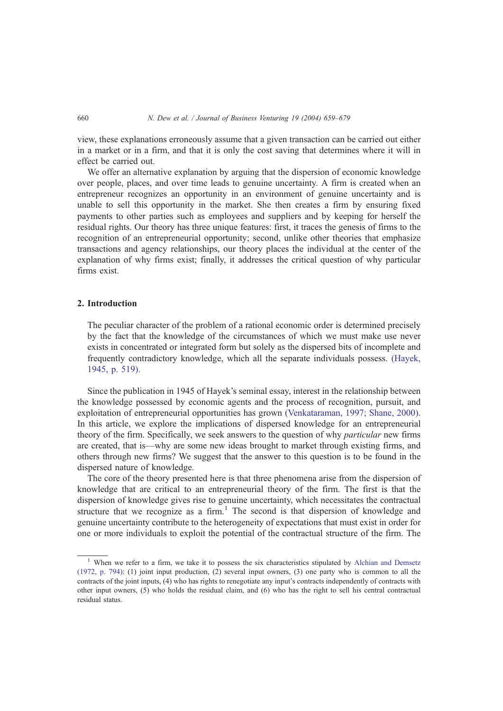view, these explanations erroneously assume that a given transaction can be carried out either in a market or in a firm, and that it is only the cost saving that determines where it will in effect be carried out.

We offer an alternative explanation by arguing that the dispersion of economic knowledge over people, places, and over time leads to genuine uncertainty. A firm is created when an entrepreneur recognizes an opportunity in an environment of genuine uncertainty and is unable to sell this opportunity in the market. She then creates a firm by ensuring fixed payments to other parties such as employees and suppliers and by keeping for herself the residual rights. Our theory has three unique features: first, it traces the genesis of firms to the recognition of an entrepreneurial opportunity; second, unlike other theories that emphasize transactions and agency relationships, our theory places the individual at the center of the explanation of why firms exist; finally, it addresses the critical question of why particular firms exist.

## 2. Introduction

The peculiar character of the problem of a rational economic order is determined precisely by the fact that the knowledge of the circumstances of which we must make use never exists in concentrated or integrated form but solely as the dispersed bits of incomplete and frequently contradictory knowledge, which all the separate individuals possess. (Hayek, 1945, p. 519).

Since the publication in 1945 of Hayek's seminal essay, interest in the relationship between the knowledge possessed by economic agents and the process of recognition, pursuit, and exploitation of entrepreneurial opportunities has grown (Venkataraman, 1997; Shane, 2000). In this article, we explore the implications of dispersed knowledge for an entrepreneurial theory of the firm. Specifically, we seek answers to the question of why particular new firms are created, that is—why are some new ideas brought to market through existing firms, and others through new firms? We suggest that the answer to this question is to be found in the dispersed nature of knowledge.

The core of the theory presented here is that three phenomena arise from the dispersion of knowledge that are critical to an entrepreneurial theory of the firm. The first is that the dispersion of knowledge gives rise to genuine uncertainty, which necessitates the contractual structure that we recognize as a firm.<sup>1</sup> The second is that dispersion of knowledge and genuine uncertainty contribute to the heterogeneity of expectations that must exist in order for one or more individuals to exploit the potential of the contractual structure of the firm. The

<sup>&</sup>lt;sup>1</sup> When we refer to a firm, we take it to possess the six characteristics stipulated by Alchian and Demsetz (1972, p. 794): (1) joint input production, (2) several input owners, (3) one party who is common to all the contracts of the joint inputs, (4) who has rights to renegotiate any input's contracts independently of contracts with other input owners, (5) who holds the residual claim, and (6) who has the right to sell his central contractual residual status.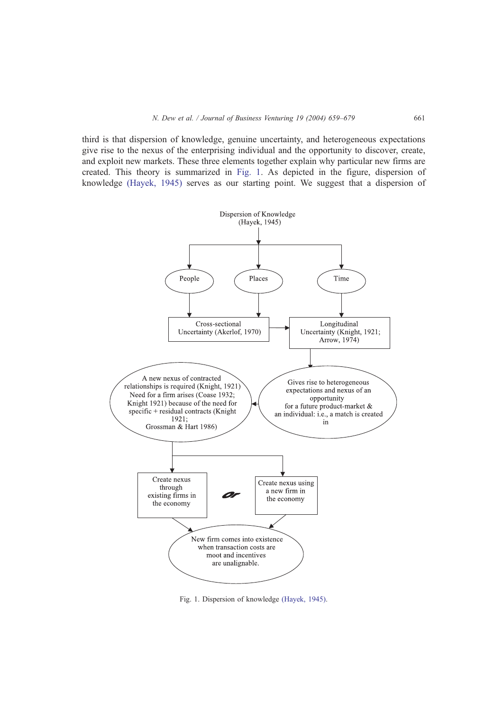third is that dispersion of knowledge, genuine uncertainty, and heterogeneous expectations give rise to the nexus of the enterprising individual and the opportunity to discover, create, and exploit new markets. These three elements together explain why particular new firms are created. This theory is summarized in Fig. 1. As depicted in the figure, dispersion of knowledge (Hayek, 1945) serves as our starting point. We suggest that a dispersion of



Fig. 1. Dispersion of knowledge (Hayek, 1945).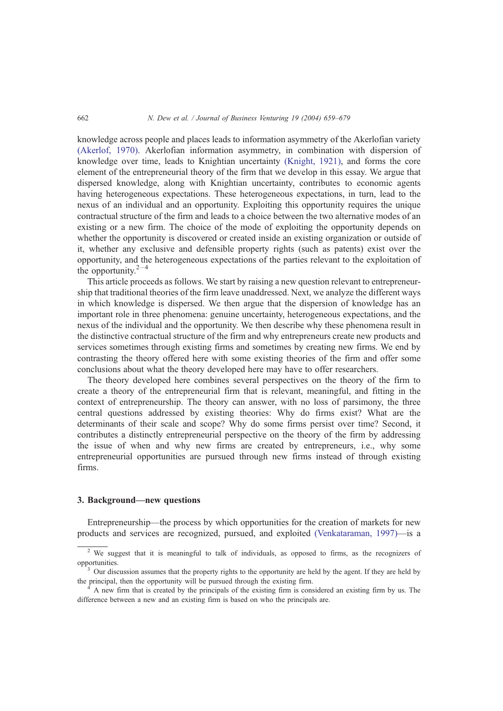knowledge across people and places leads to information asymmetry of the Akerlofian variety (Akerlof, 1970). Akerlofian information asymmetry, in combination with dispersion of knowledge over time, leads to Knightian uncertainty (Knight, 1921), and forms the core element of the entrepreneurial theory of the firm that we develop in this essay. We argue that dispersed knowledge, along with Knightian uncertainty, contributes to economic agents having heterogeneous expectations. These heterogeneous expectations, in turn, lead to the nexus of an individual and an opportunity. Exploiting this opportunity requires the unique contractual structure of the firm and leads to a choice between the two alternative modes of an existing or a new firm. The choice of the mode of exploiting the opportunity depends on whether the opportunity is discovered or created inside an existing organization or outside of it, whether any exclusive and defensible property rights (such as patents) exist over the opportunity, and the heterogeneous expectations of the parties relevant to the exploitation of the opportunity. $2-4$ 

This article proceeds as follows. We start by raising a new question relevant to entrepreneurship that traditional theories of the firm leave unaddressed. Next, we analyze the different ways in which knowledge is dispersed. We then argue that the dispersion of knowledge has an important role in three phenomena: genuine uncertainty, heterogeneous expectations, and the nexus of the individual and the opportunity. We then describe why these phenomena result in the distinctive contractual structure of the firm and why entrepreneurs create new products and services sometimes through existing firms and sometimes by creating new firms. We end by contrasting the theory offered here with some existing theories of the firm and offer some conclusions about what the theory developed here may have to offer researchers.

The theory developed here combines several perspectives on the theory of the firm to create a theory of the entrepreneurial firm that is relevant, meaningful, and fitting in the context of entrepreneurship. The theory can answer, with no loss of parsimony, the three central questions addressed by existing theories: Why do firms exist? What are the determinants of their scale and scope? Why do some firms persist over time? Second, it contributes a distinctly entrepreneurial perspective on the theory of the firm by addressing the issue of when and why new firms are created by entrepreneurs, i.e., why some entrepreneurial opportunities are pursued through new firms instead of through existing firms.

#### 3. Background—new questions

Entrepreneurship—the process by which opportunities for the creation of markets for new products and services are recognized, pursued, and exploited (Venkataraman, 1997)—is a

<sup>&</sup>lt;sup>2</sup> We suggest that it is meaningful to talk of individuals, as opposed to firms, as the recognizers of opportunities. <sup>3</sup> Our discussion assumes that the property rights to the opportunity are held by the agent. If they are held by

the principal, then the opportunity will be pursued through the existing firm.<br> $\frac{4}{3}$  A new firm that is created by the principals of the existing firm is considered an existing firm by us. The

difference between a new and an existing firm is based on who the principals are.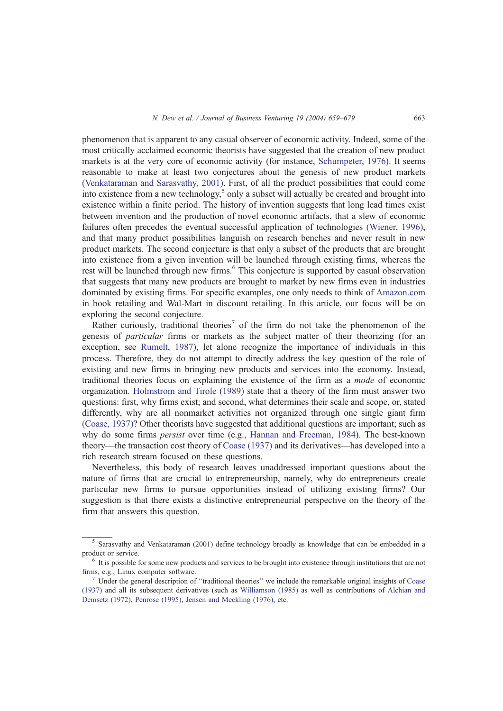phenomenon that is apparent to any casual observer of economic activity. Indeed, some of the most critically acclaimed economic theorists have suggested that the creation of new product markets is at the very core of economic activity (for instance, Schumpeter, 1976). It seems reasonable to make at least two conjectures about the genesis of new product markets (Venkataraman and Sarasvathy, 2001). First, of all the product possibilities that could come into existence from a new technology, $\frac{5}{5}$  only a subset will actually be created and brought into existence within a finite period. The history of invention suggests that long lead times exist between invention and the production of novel economic artifacts, that a slew of economic failures often precedes the eventual successful application of technologies (Wiener, 1996), and that many product possibilities languish on research benches and never result in new product markets. The second conjecture is that only a subset of the products that are brought into existence from a given invention will be launched through existing firms, whereas the rest will be launched through new firms.<sup>6</sup> This conjecture is supported by casual observation that suggests that many new products are brought to market by new firms even in industries dominated by existing firms. For specific examples, one only needs to think of Amazon.com in book retailing and Wal-Mart in discount retailing. In this article, our focus will be on exploring the second conjecture.

Rather curiously, traditional theories<sup>7</sup> of the firm do not take the phenomenon of the genesis of particular firms or markets as the subject matter of their theorizing (for an exception, see Rumelt, 1987), let alone recognize the importance of individuals in this process. Therefore, they do not attempt to directly address the key question of the role of existing and new firms in bringing new products and services into the economy. Instead, traditional theories focus on explaining the existence of the firm as a mode of economic organization. Holmstrom and Tirole (1989) state that a theory of the firm must answer two questions: first, why firms exist; and second, what determines their scale and scope, or, stated differently, why are all nonmarket activities not organized through one single giant firm (Coase, 1937)? Other theorists have suggested that additional questions are important; such as why do some firms *persist* over time (e.g., Hannan and Freeman, 1984). The best-known theory—the transaction cost theory of Coase (1937) and its derivatives—has developed into a rich research stream focused on these questions.

Nevertheless, this body of research leaves unaddressed important questions about the nature of firms that are crucial to entrepreneurship, namely, why do entrepreneurs create particular new firms to pursue opportunities instead of utilizing existing firms? Our suggestion is that there exists a distinctive entrepreneurial perspective on the theory of the firm that answers this question.

<sup>5</sup> Sarasvathy and Venkataraman (2001) define technology broadly as knowledge that can be embedded in a product or service.

<sup>&</sup>lt;sup>6</sup> It is possible for some new products and services to be brought into existence through institutions that are not firms, e.g., Linux computer software.

 $<sup>7</sup>$  Under the general description of "traditional theories" we include the remarkable original insights of Coase</sup> (1937) and all its subsequent derivatives (such as Williamson (1985) as well as contributions of Alchian and Demsetz (1972), Penrose (1995), Jensen and Meckling (1976), etc.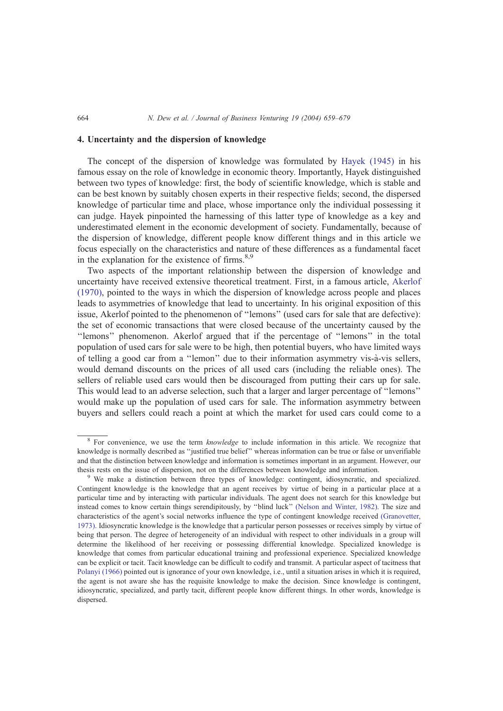# 4. Uncertainty and the dispersion of knowledge

The concept of the dispersion of knowledge was formulated by Hayek (1945) in his famous essay on the role of knowledge in economic theory. Importantly, Hayek distinguished between two types of knowledge: first, the body of scientific knowledge, which is stable and can be best known by suitably chosen experts in their respective fields; second, the dispersed knowledge of particular time and place, whose importance only the individual possessing it can judge. Hayek pinpointed the harnessing of this latter type of knowledge as a key and underestimated element in the economic development of society. Fundamentally, because of the dispersion of knowledge, different people know different things and in this article we focus especially on the characteristics and nature of these differences as a fundamental facet in the explanation for the existence of firms. $8.9$ 

Two aspects of the important relationship between the dispersion of knowledge and uncertainty have received extensive theoretical treatment. First, in a famous article, Akerlof (1970), pointed to the ways in which the dispersion of knowledge across people and places leads to asymmetries of knowledge that lead to uncertainty. In his original exposition of this issue, Akerlof pointed to the phenomenon of ''lemons'' (used cars for sale that are defective): the set of economic transactions that were closed because of the uncertainty caused by the ''lemons'' phenomenon. Akerlof argued that if the percentage of ''lemons'' in the total population of used cars for sale were to be high, then potential buyers, who have limited ways of telling a good car from a "lemon" due to their information asymmetry vis-à-vis sellers, would demand discounts on the prices of all used cars (including the reliable ones). The sellers of reliable used cars would then be discouraged from putting their cars up for sale. This would lead to an adverse selection, such that a larger and larger percentage of ''lemons'' would make up the population of used cars for sale. The information asymmetry between buyers and sellers could reach a point at which the market for used cars could come to a

<sup>8</sup> For convenience, we use the term knowledge to include information in this article. We recognize that knowledge is normally described as ''justified true belief'' whereas information can be true or false or unverifiable and that the distinction between knowledge and information is sometimes important in an argument. However, our thesis rests on the issue of dispersion, not on the differences between knowledge and information. <sup>9</sup> We make a distinction between three types of knowledge: contingent, idiosyncratic, and specialized.

Contingent knowledge is the knowledge that an agent receives by virtue of being in a particular place at a particular time and by interacting with particular individuals. The agent does not search for this knowledge but instead comes to know certain things serendipitously, by ''blind luck'' (Nelson and Winter, 1982). The size and characteristics of the agent's social networks influence the type of contingent knowledge received (Granovetter, 1973). Idiosyncratic knowledge is the knowledge that a particular person possesses or receives simply by virtue of being that person. The degree of heterogeneity of an individual with respect to other individuals in a group will determine the likelihood of her receiving or possessing differential knowledge. Specialized knowledge is knowledge that comes from particular educational training and professional experience. Specialized knowledge can be explicit or tacit. Tacit knowledge can be difficult to codify and transmit. A particular aspect of tacitness that Polanyi (1966) pointed out is ignorance of your own knowledge, i.e., until a situation arises in which it is required, the agent is not aware she has the requisite knowledge to make the decision. Since knowledge is contingent, idiosyncratic, specialized, and partly tacit, different people know different things. In other words, knowledge is dispersed.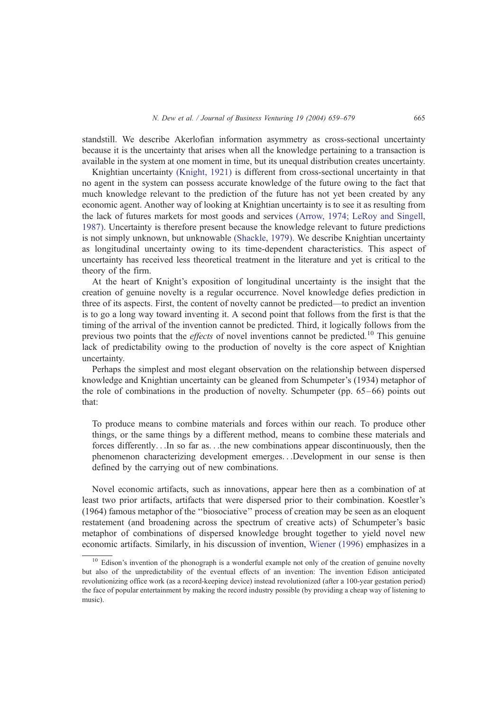standstill. We describe Akerlofian information asymmetry as cross-sectional uncertainty because it is the uncertainty that arises when all the knowledge pertaining to a transaction is available in the system at one moment in time, but its unequal distribution creates uncertainty.

Knightian uncertainty (Knight, 1921) is different from cross-sectional uncertainty in that no agent in the system can possess accurate knowledge of the future owing to the fact that much knowledge relevant to the prediction of the future has not yet been created by any economic agent. Another way of looking at Knightian uncertainty is to see it as resulting from the lack of futures markets for most goods and services (Arrow, 1974; LeRoy and Singell, 1987). Uncertainty is therefore present because the knowledge relevant to future predictions is not simply unknown, but unknowable (Shackle, 1979). We describe Knightian uncertainty as longitudinal uncertainty owing to its time-dependent characteristics. This aspect of uncertainty has received less theoretical treatment in the literature and yet is critical to the theory of the firm.

At the heart of Knight's exposition of longitudinal uncertainty is the insight that the creation of genuine novelty is a regular occurrence. Novel knowledge defies prediction in three of its aspects. First, the content of novelty cannot be predicted—to predict an invention is to go a long way toward inventing it. A second point that follows from the first is that the timing of the arrival of the invention cannot be predicted. Third, it logically follows from the previous two points that the *effects* of novel inventions cannot be predicted.<sup>10</sup> This genuine lack of predictability owing to the production of novelty is the core aspect of Knightian uncertainty.

Perhaps the simplest and most elegant observation on the relationship between dispersed knowledge and Knightian uncertainty can be gleaned from Schumpeter's (1934) metaphor of the role of combinations in the production of novelty. Schumpeter (pp. 65–66) points out that:

To produce means to combine materials and forces within our reach. To produce other things, or the same things by a different method, means to combine these materials and forces differently...In so far as...the new combinations appear discontinuously, then the phenomenon characterizing development emerges...Development in our sense is then defined by the carrying out of new combinations.

Novel economic artifacts, such as innovations, appear here then as a combination of at least two prior artifacts, artifacts that were dispersed prior to their combination. Koestler's (1964) famous metaphor of the ''biosociative'' process of creation may be seen as an eloquent restatement (and broadening across the spectrum of creative acts) of Schumpeter's basic metaphor of combinations of dispersed knowledge brought together to yield novel new economic artifacts. Similarly, in his discussion of invention, Wiener (1996) emphasizes in a

<sup>&</sup>lt;sup>10</sup> Edison's invention of the phonograph is a wonderful example not only of the creation of genuine novelty but also of the unpredictability of the eventual effects of an invention: The invention Edison anticipated revolutionizing office work (as a record-keeping device) instead revolutionized (after a 100-year gestation period) the face of popular entertainment by making the record industry possible (by providing a cheap way of listening to music).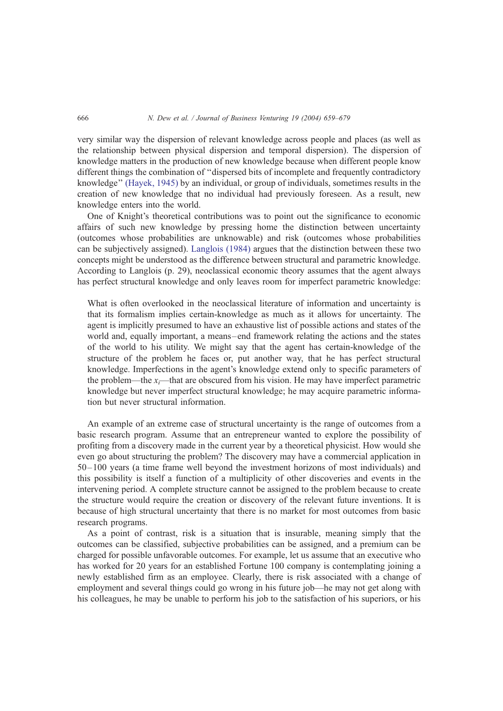very similar way the dispersion of relevant knowledge across people and places (as well as the relationship between physical dispersion and temporal dispersion). The dispersion of knowledge matters in the production of new knowledge because when different people know different things the combination of ''dispersed bits of incomplete and frequently contradictory knowledge'' (Hayek, 1945) by an individual, or group of individuals, sometimes results in the creation of new knowledge that no individual had previously foreseen. As a result, new knowledge enters into the world.

One of Knight's theoretical contributions was to point out the significance to economic affairs of such new knowledge by pressing home the distinction between uncertainty (outcomes whose probabilities are unknowable) and risk (outcomes whose probabilities can be subjectively assigned). Langlois (1984) argues that the distinction between these two concepts might be understood as the difference between structural and parametric knowledge. According to Langlois (p. 29), neoclassical economic theory assumes that the agent always has perfect structural knowledge and only leaves room for imperfect parametric knowledge:

What is often overlooked in the neoclassical literature of information and uncertainty is that its formalism implies certain-knowledge as much as it allows for uncertainty. The agent is implicitly presumed to have an exhaustive list of possible actions and states of the world and, equally important, a means–end framework relating the actions and the states of the world to his utility. We might say that the agent has certain-knowledge of the structure of the problem he faces or, put another way, that he has perfect structural knowledge. Imperfections in the agent's knowledge extend only to specific parameters of the problem—the  $x_i$ —that are obscured from his vision. He may have imperfect parametric knowledge but never imperfect structural knowledge; he may acquire parametric information but never structural information.

An example of an extreme case of structural uncertainty is the range of outcomes from a basic research program. Assume that an entrepreneur wanted to explore the possibility of profiting from a discovery made in the current year by a theoretical physicist. How would she even go about structuring the problem? The discovery may have a commercial application in 50–100 years (a time frame well beyond the investment horizons of most individuals) and this possibility is itself a function of a multiplicity of other discoveries and events in the intervening period. A complete structure cannot be assigned to the problem because to create the structure would require the creation or discovery of the relevant future inventions. It is because of high structural uncertainty that there is no market for most outcomes from basic research programs.

As a point of contrast, risk is a situation that is insurable, meaning simply that the outcomes can be classified, subjective probabilities can be assigned, and a premium can be charged for possible unfavorable outcomes. For example, let us assume that an executive who has worked for 20 years for an established Fortune 100 company is contemplating joining a newly established firm as an employee. Clearly, there is risk associated with a change of employment and several things could go wrong in his future job—he may not get along with his colleagues, he may be unable to perform his job to the satisfaction of his superiors, or his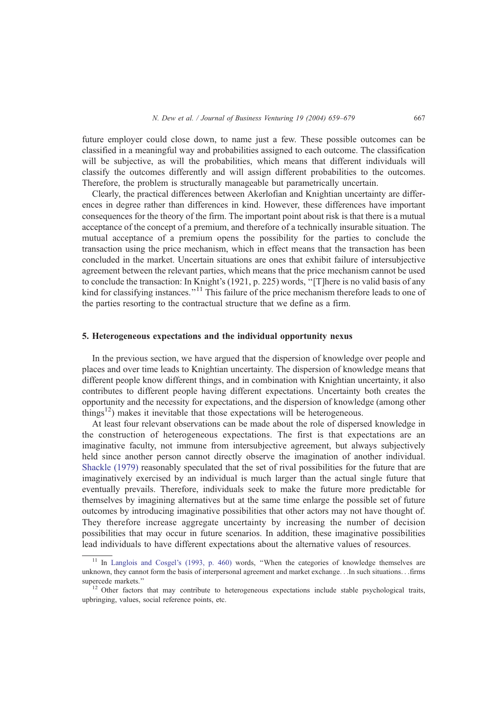future employer could close down, to name just a few. These possible outcomes can be classified in a meaningful way and probabilities assigned to each outcome. The classification will be subjective, as will the probabilities, which means that different individuals will classify the outcomes differently and will assign different probabilities to the outcomes. Therefore, the problem is structurally manageable but parametrically uncertain.

Clearly, the practical differences between Akerlofian and Knightian uncertainty are differences in degree rather than differences in kind. However, these differences have important consequences for the theory of the firm. The important point about risk is that there is a mutual acceptance of the concept of a premium, and therefore of a technically insurable situation. The mutual acceptance of a premium opens the possibility for the parties to conclude the transaction using the price mechanism, which in effect means that the transaction has been concluded in the market. Uncertain situations are ones that exhibit failure of intersubjective agreement between the relevant parties, which means that the price mechanism cannot be used to conclude the transaction: In Knight's (1921, p. 225) words, ''[T]here is no valid basis of any kind for classifying instances."<sup>11</sup> This failure of the price mechanism therefore leads to one of the parties resorting to the contractual structure that we define as a firm.

#### 5. Heterogeneous expectations and the individual opportunity nexus

In the previous section, we have argued that the dispersion of knowledge over people and places and over time leads to Knightian uncertainty. The dispersion of knowledge means that different people know different things, and in combination with Knightian uncertainty, it also contributes to different people having different expectations. Uncertainty both creates the opportunity and the necessity for expectations, and the dispersion of knowledge (among other things<sup>12</sup>) makes it inevitable that those expectations will be heterogeneous.

At least four relevant observations can be made about the role of dispersed knowledge in the construction of heterogeneous expectations. The first is that expectations are an imaginative faculty, not immune from intersubjective agreement, but always subjectively held since another person cannot directly observe the imagination of another individual. Shackle (1979) reasonably speculated that the set of rival possibilities for the future that are imaginatively exercised by an individual is much larger than the actual single future that eventually prevails. Therefore, individuals seek to make the future more predictable for themselves by imagining alternatives but at the same time enlarge the possible set of future outcomes by introducing imaginative possibilities that other actors may not have thought of. They therefore increase aggregate uncertainty by increasing the number of decision possibilities that may occur in future scenarios. In addition, these imaginative possibilities lead individuals to have different expectations about the alternative values of resources.

<sup>&</sup>lt;sup>11</sup> In Langlois and Cosgel's (1993, p. 460) words, "When the categories of knowledge themselves are unknown, they cannot form the basis of interpersonal agreement and market exchange...In such situations...firms supercede markets.''

 $12$  Other factors that may contribute to heterogeneous expectations include stable psychological traits, upbringing, values, social reference points, etc.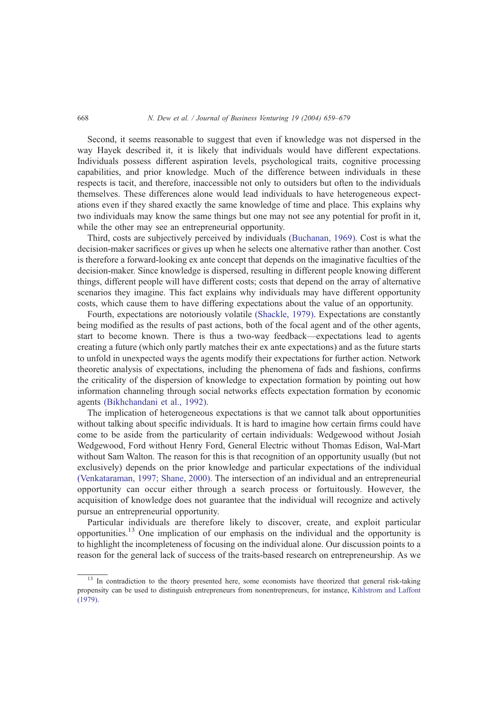Second, it seems reasonable to suggest that even if knowledge was not dispersed in the way Hayek described it, it is likely that individuals would have different expectations. Individuals possess different aspiration levels, psychological traits, cognitive processing capabilities, and prior knowledge. Much of the difference between individuals in these respects is tacit, and therefore, inaccessible not only to outsiders but often to the individuals themselves. These differences alone would lead individuals to have heterogeneous expectations even if they shared exactly the same knowledge of time and place. This explains why two individuals may know the same things but one may not see any potential for profit in it, while the other may see an entrepreneurial opportunity.

Third, costs are subjectively perceived by individuals (Buchanan, 1969). Cost is what the decision-maker sacrifices or gives up when he selects one alternative rather than another. Cost is therefore a forward-looking ex ante concept that depends on the imaginative faculties of the decision-maker. Since knowledge is dispersed, resulting in different people knowing different things, different people will have different costs; costs that depend on the array of alternative scenarios they imagine. This fact explains why individuals may have different opportunity costs, which cause them to have differing expectations about the value of an opportunity.

Fourth, expectations are notoriously volatile (Shackle, 1979). Expectations are constantly being modified as the results of past actions, both of the focal agent and of the other agents, start to become known. There is thus a two-way feedback—expectations lead to agents creating a future (which only partly matches their ex ante expectations) and as the future starts to unfold in unexpected ways the agents modify their expectations for further action. Network theoretic analysis of expectations, including the phenomena of fads and fashions, confirms the criticality of the dispersion of knowledge to expectation formation by pointing out how information channeling through social networks effects expectation formation by economic agents (Bikhchandani et al., 1992).

The implication of heterogeneous expectations is that we cannot talk about opportunities without talking about specific individuals. It is hard to imagine how certain firms could have come to be aside from the particularity of certain individuals: Wedgewood without Josiah Wedgewood, Ford without Henry Ford, General Electric without Thomas Edison, Wal-Mart without Sam Walton. The reason for this is that recognition of an opportunity usually (but not exclusively) depends on the prior knowledge and particular expectations of the individual (Venkataraman, 1997; Shane, 2000). The intersection of an individual and an entrepreneurial opportunity can occur either through a search process or fortuitously. However, the acquisition of knowledge does not guarantee that the individual will recognize and actively pursue an entrepreneurial opportunity.

Particular individuals are therefore likely to discover, create, and exploit particular opportunities.13 One implication of our emphasis on the individual and the opportunity is to highlight the incompleteness of focusing on the individual alone. Our discussion points to a reason for the general lack of success of the traits-based research on entrepreneurship. As we

<sup>&</sup>lt;sup>13</sup> In contradiction to the theory presented here, some economists have theorized that general risk-taking propensity can be used to distinguish entrepreneurs from nonentrepreneurs, for instance, Kihlstrom and Laffont (1979).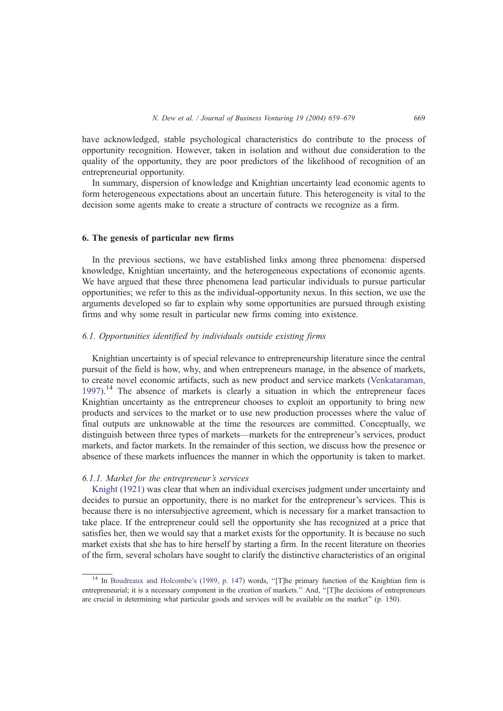have acknowledged, stable psychological characteristics do contribute to the process of opportunity recognition. However, taken in isolation and without due consideration to the quality of the opportunity, they are poor predictors of the likelihood of recognition of an entrepreneurial opportunity.

In summary, dispersion of knowledge and Knightian uncertainty lead economic agents to form heterogeneous expectations about an uncertain future. This heterogeneity is vital to the decision some agents make to create a structure of contracts we recognize as a firm.

## 6. The genesis of particular new firms

In the previous sections, we have established links among three phenomena: dispersed knowledge, Knightian uncertainty, and the heterogeneous expectations of economic agents. We have argued that these three phenomena lead particular individuals to pursue particular opportunities; we refer to this as the individual-opportunity nexus. In this section, we use the arguments developed so far to explain why some opportunities are pursued through existing firms and why some result in particular new firms coming into existence.

## 6.1. Opportunities identified by individuals outside existing firms

Knightian uncertainty is of special relevance to entrepreneurship literature since the central pursuit of the field is how, why, and when entrepreneurs manage, in the absence of markets, to create novel economic artifacts, such as new product and service markets (Venkataraman, 1997). <sup>14</sup> The absence of markets is clearly a situation in which the entrepreneur faces Knightian uncertainty as the entrepreneur chooses to exploit an opportunity to bring new products and services to the market or to use new production processes where the value of final outputs are unknowable at the time the resources are committed. Conceptually, we distinguish between three types of markets—markets for the entrepreneur's services, product markets, and factor markets. In the remainder of this section, we discuss how the presence or absence of these markets influences the manner in which the opportunity is taken to market.

#### 6.1.1. Market for the entrepreneur's services

Knight (1921) was clear that when an individual exercises judgment under uncertainty and decides to pursue an opportunity, there is no market for the entrepreneur's services. This is because there is no intersubjective agreement, which is necessary for a market transaction to take place. If the entrepreneur could sell the opportunity she has recognized at a price that satisfies her, then we would say that a market exists for the opportunity. It is because no such market exists that she has to hire herself by starting a firm. In the recent literature on theories of the firm, several scholars have sought to clarify the distinctive characteristics of an original

<sup>&</sup>lt;sup>14</sup> In Boudreaux and Holcombe's (1989, p. 147) words, "[T]he primary function of the Knightian firm is entrepreneurial; it is a necessary component in the creation of markets.'' And, ''[T]he decisions of entrepreneurs are crucial in determining what particular goods and services will be available on the market'' (p. 150).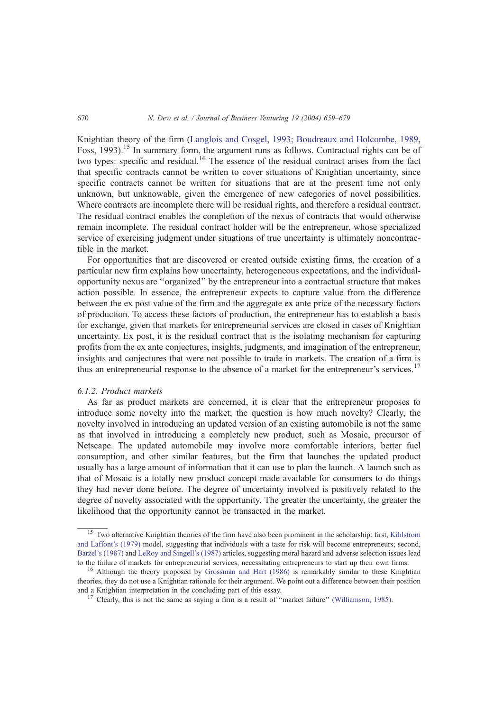Knightian theory of the firm (Langlois and Cosgel, 1993; Boudreaux and Holcombe, 1989, Foss, 1993).<sup>15</sup> In summary form, the argument runs as follows. Contractual rights can be of two types: specific and residual.<sup>16</sup> The essence of the residual contract arises from the fact that specific contracts cannot be written to cover situations of Knightian uncertainty, since specific contracts cannot be written for situations that are at the present time not only unknown, but unknowable, given the emergence of new categories of novel possibilities. Where contracts are incomplete there will be residual rights, and therefore a residual contract. The residual contract enables the completion of the nexus of contracts that would otherwise remain incomplete. The residual contract holder will be the entrepreneur, whose specialized service of exercising judgment under situations of true uncertainty is ultimately noncontractible in the market.

For opportunities that are discovered or created outside existing firms, the creation of a particular new firm explains how uncertainty, heterogeneous expectations, and the individualopportunity nexus are ''organized'' by the entrepreneur into a contractual structure that makes action possible. In essence, the entrepreneur expects to capture value from the difference between the ex post value of the firm and the aggregate ex ante price of the necessary factors of production. To access these factors of production, the entrepreneur has to establish a basis for exchange, given that markets for entrepreneurial services are closed in cases of Knightian uncertainty. Ex post, it is the residual contract that is the isolating mechanism for capturing profits from the ex ante conjectures, insights, judgments, and imagination of the entrepreneur, insights and conjectures that were not possible to trade in markets. The creation of a firm is thus an entrepreneurial response to the absence of a market for the entrepreneur's services.<sup>17</sup>

#### 6.1.2. Product markets

As far as product markets are concerned, it is clear that the entrepreneur proposes to introduce some novelty into the market; the question is how much novelty? Clearly, the novelty involved in introducing an updated version of an existing automobile is not the same as that involved in introducing a completely new product, such as Mosaic, precursor of Netscape. The updated automobile may involve more comfortable interiors, better fuel consumption, and other similar features, but the firm that launches the updated product usually has a large amount of information that it can use to plan the launch. A launch such as that of Mosaic is a totally new product concept made available for consumers to do things they had never done before. The degree of uncertainty involved is positively related to the degree of novelty associated with the opportunity. The greater the uncertainty, the greater the likelihood that the opportunity cannot be transacted in the market.

<sup>&</sup>lt;sup>15</sup> Two alternative Knightian theories of the firm have also been prominent in the scholarship: first, Kihlstrom and Laffont's (1979) model, suggesting that individuals with a taste for risk will become entrepreneurs; second, Barzel's (1987) and LeRoy and Singell's (1987) articles, suggesting moral hazard and adverse selection issues lead to the failure of markets for entrepreneurial services, necessitating entrepreneurs to start up their own firms.

<sup>&</sup>lt;sup>16</sup> Although the theory proposed by Grossman and Hart (1986) is remarkably similar to these Knightian theories, they do not use a Knightian rationale for their argument. We point out a difference between their position and a Knightian interpretation in the concluding part of this essay.<br><sup>17</sup> Clearly, this is not the same as saying a firm is a result of "market failure" (Williamson, 1985).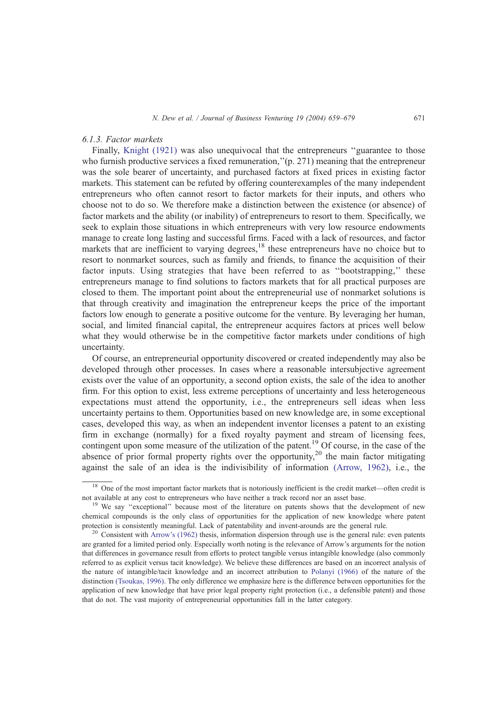#### 6.1.3. Factor markets

Finally, Knight (1921) was also unequivocal that the entrepreneurs ''guarantee to those who furnish productive services a fixed remuneration,"(p. 271) meaning that the entrepreneur was the sole bearer of uncertainty, and purchased factors at fixed prices in existing factor markets. This statement can be refuted by offering counterexamples of the many independent entrepreneurs who often cannot resort to factor markets for their inputs, and others who choose not to do so. We therefore make a distinction between the existence (or absence) of factor markets and the ability (or inability) of entrepreneurs to resort to them. Specifically, we seek to explain those situations in which entrepreneurs with very low resource endowments manage to create long lasting and successful firms. Faced with a lack of resources, and factor markets that are inefficient to varying degrees,<sup>18</sup> these entrepreneurs have no choice but to resort to nonmarket sources, such as family and friends, to finance the acquisition of their factor inputs. Using strategies that have been referred to as ''bootstrapping,'' these entrepreneurs manage to find solutions to factors markets that for all practical purposes are closed to them. The important point about the entrepreneurial use of nonmarket solutions is that through creativity and imagination the entrepreneur keeps the price of the important factors low enough to generate a positive outcome for the venture. By leveraging her human, social, and limited financial capital, the entrepreneur acquires factors at prices well below what they would otherwise be in the competitive factor markets under conditions of high uncertainty.

Of course, an entrepreneurial opportunity discovered or created independently may also be developed through other processes. In cases where a reasonable intersubjective agreement exists over the value of an opportunity, a second option exists, the sale of the idea to another firm. For this option to exist, less extreme perceptions of uncertainty and less heterogeneous expectations must attend the opportunity, i.e., the entrepreneurs sell ideas when less uncertainty pertains to them. Opportunities based on new knowledge are, in some exceptional cases, developed this way, as when an independent inventor licenses a patent to an existing firm in exchange (normally) for a fixed royalty payment and stream of licensing fees, contingent upon some measure of the utilization of the patent.<sup>19</sup> Of course, in the case of the absence of prior formal property rights over the opportunity,<sup>20</sup> the main factor mitigating against the sale of an idea is the indivisibility of information (Arrow, 1962), i.e., the

<sup>&</sup>lt;sup>18</sup> One of the most important factor markets that is notoriously inefficient is the credit market—often credit is not available at any cost to entrepreneurs who have neither a track record nor an asset base.

<sup>&</sup>lt;sup>19</sup> We say "exceptional" because most of the literature on patents shows that the development of new chemical compounds is the only class of opportunities for the application of new knowledge where patent protection is consistently meaningful. Lack of patentability and invent-arounds are the general rule.

<sup>&</sup>lt;sup>20</sup> Consistent with Arrow's (1962) thesis, information dispersion through use is the general rule: even patents are granted for a limited period only. Especially worth noting is the relevance of Arrow's arguments for the notion that differences in governance result from efforts to protect tangible versus intangible knowledge (also commonly referred to as explicit versus tacit knowledge). We believe these differences are based on an incorrect analysis of the nature of intangible/tacit knowledge and an incorrect attribution to Polanyi (1966) of the nature of the distinction (Tsoukas, 1996). The only difference we emphasize here is the difference between opportunities for the application of new knowledge that have prior legal property right protection (i.e., a defensible patent) and those that do not. The vast majority of entrepreneurial opportunities fall in the latter category.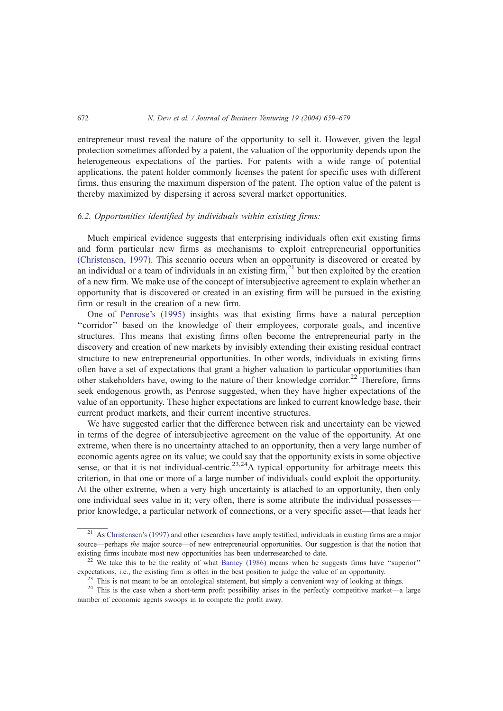entrepreneur must reveal the nature of the opportunity to sell it. However, given the legal protection sometimes afforded by a patent, the valuation of the opportunity depends upon the heterogeneous expectations of the parties. For patents with a wide range of potential applications, the patent holder commonly licenses the patent for specific uses with different firms, thus ensuring the maximum dispersion of the patent. The option value of the patent is thereby maximized by dispersing it across several market opportunities.

## 6.2. Opportunities identified by individuals within existing firms:

Much empirical evidence suggests that enterprising individuals often exit existing firms and form particular new firms as mechanisms to exploit entrepreneurial opportunities (Christensen, 1997). This scenario occurs when an opportunity is discovered or created by an individual or a team of individuals in an existing firm,<sup>21</sup> but then exploited by the creation of a new firm. We make use of the concept of intersubjective agreement to explain whether an opportunity that is discovered or created in an existing firm will be pursued in the existing firm or result in the creation of a new firm.

One of Penrose's (1995) insights was that existing firms have a natural perception ''corridor'' based on the knowledge of their employees, corporate goals, and incentive structures. This means that existing firms often become the entrepreneurial party in the discovery and creation of new markets by invisibly extending their existing residual contract structure to new entrepreneurial opportunities. In other words, individuals in existing firms often have a set of expectations that grant a higher valuation to particular opportunities than other stakeholders have, owing to the nature of their knowledge corridor.<sup>22</sup> Therefore, firms seek endogenous growth, as Penrose suggested, when they have higher expectations of the value of an opportunity. These higher expectations are linked to current knowledge base, their current product markets, and their current incentive structures.

We have suggested earlier that the difference between risk and uncertainty can be viewed in terms of the degree of intersubjective agreement on the value of the opportunity. At one extreme, when there is no uncertainty attached to an opportunity, then a very large number of economic agents agree on its value; we could say that the opportunity exists in some objective sense, or that it is not individual-centric.<sup>23,24</sup>A typical opportunity for arbitrage meets this criterion, in that one or more of a large number of individuals could exploit the opportunity. At the other extreme, when a very high uncertainty is attached to an opportunity, then only one individual sees value in it; very often, there is some attribute the individual possesses prior knowledge, a particular network of connections, or a very specific asset—that leads her

<sup>&</sup>lt;sup>21</sup> As Christensen's (1997) and other researchers have amply testified, individuals in existing firms are a major source—perhaps the major source—of new entrepreneurial opportunities. Our suggestion is that the notion that existing firms incubate most new opportunities has been underresearched to date.

<sup>&</sup>lt;sup>22</sup> We take this to be the reality of what Barney (1986) means when he suggests firms have "superior" expectations, i.e., the existing firm is often in the best position to judge the value of an opportunity.

<sup>&</sup>lt;sup>23</sup> This is not meant to be an ontological statement, but simply a convenient way of looking at things.<br><sup>24</sup> This is the case when a short-term profit possibility arises in the perfectly competitive market—a large number of economic agents swoops in to compete the profit away.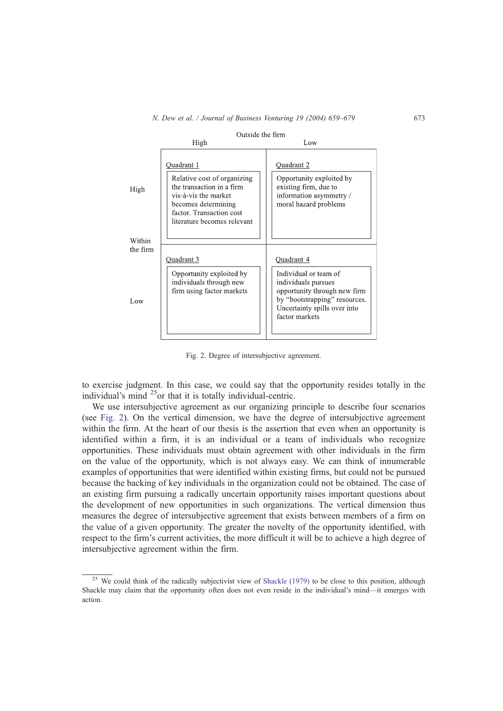N. Dew et al. / Journal of Business Venturing 19 (2004) 659–679 673



Fig. 2. Degree of intersubjective agreement.

to exercise judgment. In this case, we could say that the opportunity resides totally in the individual's mind 25or that it is totally individual-centric.

We use intersubjective agreement as our organizing principle to describe four scenarios (see Fig. 2). On the vertical dimension, we have the degree of intersubjective agreement within the firm. At the heart of our thesis is the assertion that even when an opportunity is identified within a firm, it is an individual or a team of individuals who recognize opportunities. These individuals must obtain agreement with other individuals in the firm on the value of the opportunity, which is not always easy. We can think of innumerable examples of opportunities that were identified within existing firms, but could not be pursued because the backing of key individuals in the organization could not be obtained. The case of an existing firm pursuing a radically uncertain opportunity raises important questions about the development of new opportunities in such organizations. The vertical dimension thus measures the degree of intersubjective agreement that exists between members of a firm on the value of a given opportunity. The greater the novelty of the opportunity identified, with respect to the firm's current activities, the more difficult it will be to achieve a high degree of intersubjective agreement within the firm.

<sup>&</sup>lt;sup>25</sup> We could think of the radically subjectivist view of Shackle (1979) to be close to this position, although Shackle may claim that the opportunity often does not even reside in the individual's mind—it emerges with action.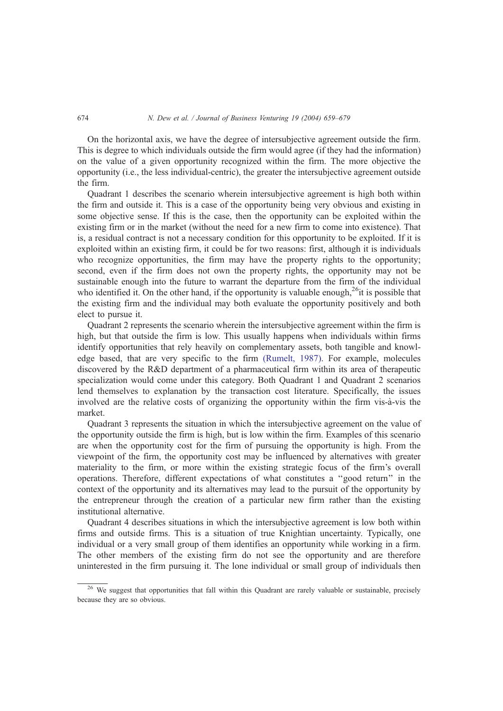On the horizontal axis, we have the degree of intersubjective agreement outside the firm. This is degree to which individuals outside the firm would agree (if they had the information) on the value of a given opportunity recognized within the firm. The more objective the opportunity (i.e., the less individual-centric), the greater the intersubjective agreement outside the firm.

Quadrant 1 describes the scenario wherein intersubjective agreement is high both within the firm and outside it. This is a case of the opportunity being very obvious and existing in some objective sense. If this is the case, then the opportunity can be exploited within the existing firm or in the market (without the need for a new firm to come into existence). That is, a residual contract is not a necessary condition for this opportunity to be exploited. If it is exploited within an existing firm, it could be for two reasons: first, although it is individuals who recognize opportunities, the firm may have the property rights to the opportunity; second, even if the firm does not own the property rights, the opportunity may not be sustainable enough into the future to warrant the departure from the firm of the individual who identified it. On the other hand, if the opportunity is valuable enough,  $^{26}$ it is possible that the existing firm and the individual may both evaluate the opportunity positively and both elect to pursue it.

Quadrant 2 represents the scenario wherein the intersubjective agreement within the firm is high, but that outside the firm is low. This usually happens when individuals within firms identify opportunities that rely heavily on complementary assets, both tangible and knowledge based, that are very specific to the firm (Rumelt, 1987). For example, molecules discovered by the R&D department of a pharmaceutical firm within its area of therapeutic specialization would come under this category. Both Quadrant 1 and Quadrant 2 scenarios lend themselves to explanation by the transaction cost literature. Specifically, the issues involved are the relative costs of organizing the opportunity within the firm vis-a`-vis the market.

Quadrant 3 represents the situation in which the intersubjective agreement on the value of the opportunity outside the firm is high, but is low within the firm. Examples of this scenario are when the opportunity cost for the firm of pursuing the opportunity is high. From the viewpoint of the firm, the opportunity cost may be influenced by alternatives with greater materiality to the firm, or more within the existing strategic focus of the firm's overall operations. Therefore, different expectations of what constitutes a ''good return'' in the context of the opportunity and its alternatives may lead to the pursuit of the opportunity by the entrepreneur through the creation of a particular new firm rather than the existing institutional alternative.

Quadrant 4 describes situations in which the intersubjective agreement is low both within firms and outside firms. This is a situation of true Knightian uncertainty. Typically, one individual or a very small group of them identifies an opportunity while working in a firm. The other members of the existing firm do not see the opportunity and are therefore uninterested in the firm pursuing it. The lone individual or small group of individuals then

<sup>&</sup>lt;sup>26</sup> We suggest that opportunities that fall within this Quadrant are rarely valuable or sustainable, precisely because they are so obvious.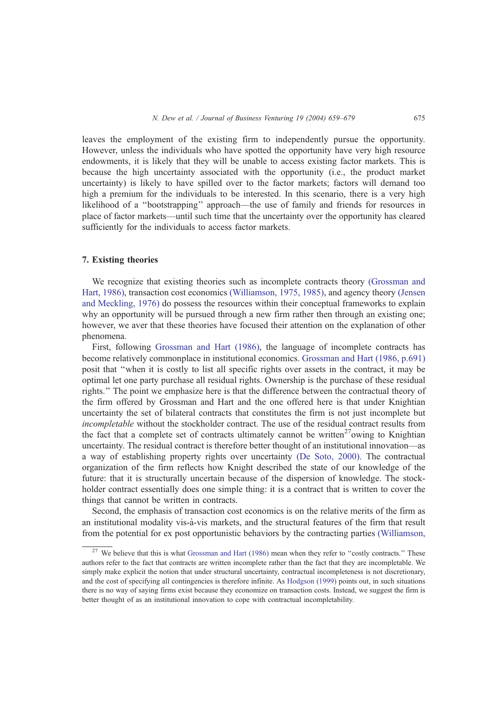leaves the employment of the existing firm to independently pursue the opportunity. However, unless the individuals who have spotted the opportunity have very high resource endowments, it is likely that they will be unable to access existing factor markets. This is because the high uncertainty associated with the opportunity (i.e., the product market uncertainty) is likely to have spilled over to the factor markets; factors will demand too high a premium for the individuals to be interested. In this scenario, there is a very high likelihood of a ''bootstrapping'' approach—the use of family and friends for resources in place of factor markets—until such time that the uncertainty over the opportunity has cleared sufficiently for the individuals to access factor markets.

#### 7. Existing theories

We recognize that existing theories such as incomplete contracts theory (Grossman and Hart, 1986), transaction cost economics (Williamson, 1975, 1985), and agency theory (Jensen and Meckling, 1976) do possess the resources within their conceptual frameworks to explain why an opportunity will be pursued through a new firm rather then through an existing one; however, we aver that these theories have focused their attention on the explanation of other phenomena.

First, following Grossman and Hart (1986), the language of incomplete contracts has become relatively commonplace in institutional economics. Grossman and Hart (1986, p.691) posit that ''when it is costly to list all specific rights over assets in the contract, it may be optimal let one party purchase all residual rights. Ownership is the purchase of these residual rights.'' The point we emphasize here is that the difference between the contractual theory of the firm offered by Grossman and Hart and the one offered here is that under Knightian uncertainty the set of bilateral contracts that constitutes the firm is not just incomplete but incompletable without the stockholder contract. The use of the residual contract results from the fact that a complete set of contracts ultimately cannot be written<sup>27</sup>owing to Knightian uncertainty. The residual contract is therefore better thought of an institutional innovation—as a way of establishing property rights over uncertainty (De Soto, 2000). The contractual organization of the firm reflects how Knight described the state of our knowledge of the future: that it is structurally uncertain because of the dispersion of knowledge. The stockholder contract essentially does one simple thing: it is a contract that is written to cover the things that cannot be written in contracts.

Second, the emphasis of transaction cost economics is on the relative merits of the firm as an institutional modality vis-à-vis markets, and the structural features of the firm that result from the potential for ex post opportunistic behaviors by the contracting parties (Williamson,

<sup>&</sup>lt;sup>27</sup> We believe that this is what Grossman and Hart (1986) mean when they refer to "costly contracts." These authors refer to the fact that contracts are written incomplete rather than the fact that they are incompletable. We simply make explicit the notion that under structural uncertainty, contractual incompleteness is not discretionary, and the cost of specifying all contingencies is therefore infinite. As Hodgson (1999) points out, in such situations there is no way of saying firms exist because they economize on transaction costs. Instead, we suggest the firm is better thought of as an institutional innovation to cope with contractual incompletability.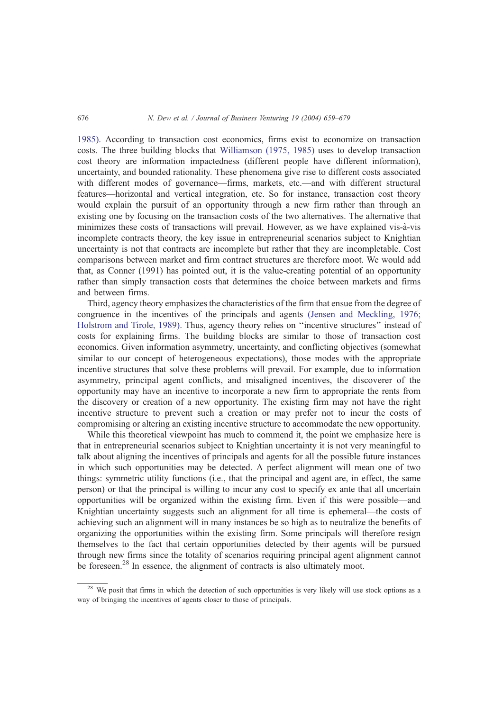1985). According to transaction cost economics, firms exist to economize on transaction costs. The three building blocks that Williamson (1975, 1985) uses to develop transaction cost theory are information impactedness (different people have different information), uncertainty, and bounded rationality. These phenomena give rise to different costs associated with different modes of governance—firms, markets, etc.—and with different structural features—horizontal and vertical integration, etc. So for instance, transaction cost theory would explain the pursuit of an opportunity through a new firm rather than through an existing one by focusing on the transaction costs of the two alternatives. The alternative that minimizes these costs of transactions will prevail. However, as we have explained vis-à-vis incomplete contracts theory, the key issue in entrepreneurial scenarios subject to Knightian uncertainty is not that contracts are incomplete but rather that they are incompletable. Cost comparisons between market and firm contract structures are therefore moot. We would add that, as Conner (1991) has pointed out, it is the value-creating potential of an opportunity rather than simply transaction costs that determines the choice between markets and firms and between firms.

Third, agency theory emphasizes the characteristics of the firm that ensue from the degree of congruence in the incentives of the principals and agents (Jensen and Meckling, 1976; Holstrom and Tirole, 1989). Thus, agency theory relies on ''incentive structures'' instead of costs for explaining firms. The building blocks are similar to those of transaction cost economics. Given information asymmetry, uncertainty, and conflicting objectives (somewhat similar to our concept of heterogeneous expectations), those modes with the appropriate incentive structures that solve these problems will prevail. For example, due to information asymmetry, principal agent conflicts, and misaligned incentives, the discoverer of the opportunity may have an incentive to incorporate a new firm to appropriate the rents from the discovery or creation of a new opportunity. The existing firm may not have the right incentive structure to prevent such a creation or may prefer not to incur the costs of compromising or altering an existing incentive structure to accommodate the new opportunity.

While this theoretical viewpoint has much to commend it, the point we emphasize here is that in entrepreneurial scenarios subject to Knightian uncertainty it is not very meaningful to talk about aligning the incentives of principals and agents for all the possible future instances in which such opportunities may be detected. A perfect alignment will mean one of two things: symmetric utility functions (i.e., that the principal and agent are, in effect, the same person) or that the principal is willing to incur any cost to specify ex ante that all uncertain opportunities will be organized within the existing firm. Even if this were possible—and Knightian uncertainty suggests such an alignment for all time is ephemeral—the costs of achieving such an alignment will in many instances be so high as to neutralize the benefits of organizing the opportunities within the existing firm. Some principals will therefore resign themselves to the fact that certain opportunities detected by their agents will be pursued through new firms since the totality of scenarios requiring principal agent alignment cannot be foreseen.<sup>28</sup> In essence, the alignment of contracts is also ultimately moot.

<sup>&</sup>lt;sup>28</sup> We posit that firms in which the detection of such opportunities is very likely will use stock options as a way of bringing the incentives of agents closer to those of principals.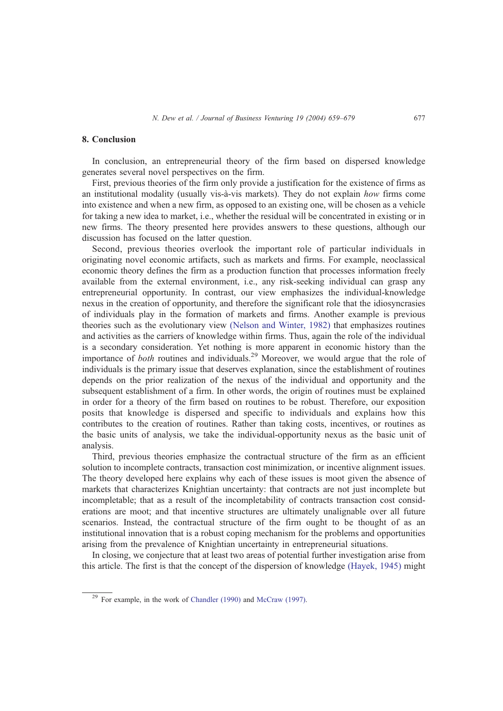## 8. Conclusion

In conclusion, an entrepreneurial theory of the firm based on dispersed knowledge generates several novel perspectives on the firm.

First, previous theories of the firm only provide a justification for the existence of firms as an institutional modality (usually vis-à-vis markets). They do not explain how firms come into existence and when a new firm, as opposed to an existing one, will be chosen as a vehicle for taking a new idea to market, i.e., whether the residual will be concentrated in existing or in new firms. The theory presented here provides answers to these questions, although our discussion has focused on the latter question.

Second, previous theories overlook the important role of particular individuals in originating novel economic artifacts, such as markets and firms. For example, neoclassical economic theory defines the firm as a production function that processes information freely available from the external environment, i.e., any risk-seeking individual can grasp any entrepreneurial opportunity. In contrast, our view emphasizes the individual-knowledge nexus in the creation of opportunity, and therefore the significant role that the idiosyncrasies of individuals play in the formation of markets and firms. Another example is previous theories such as the evolutionary view (Nelson and Winter, 1982) that emphasizes routines and activities as the carriers of knowledge within firms. Thus, again the role of the individual is a secondary consideration. Yet nothing is more apparent in economic history than the importance of *both* routines and individuals.<sup>29</sup> Moreover, we would argue that the role of individuals is the primary issue that deserves explanation, since the establishment of routines depends on the prior realization of the nexus of the individual and opportunity and the subsequent establishment of a firm. In other words, the origin of routines must be explained in order for a theory of the firm based on routines to be robust. Therefore, our exposition posits that knowledge is dispersed and specific to individuals and explains how this contributes to the creation of routines. Rather than taking costs, incentives, or routines as the basic units of analysis, we take the individual-opportunity nexus as the basic unit of analysis.

Third, previous theories emphasize the contractual structure of the firm as an efficient solution to incomplete contracts, transaction cost minimization, or incentive alignment issues. The theory developed here explains why each of these issues is moot given the absence of markets that characterizes Knightian uncertainty: that contracts are not just incomplete but incompletable; that as a result of the incompletability of contracts transaction cost considerations are moot; and that incentive structures are ultimately unalignable over all future scenarios. Instead, the contractual structure of the firm ought to be thought of as an institutional innovation that is a robust coping mechanism for the problems and opportunities arising from the prevalence of Knightian uncertainty in entrepreneurial situations.

In closing, we conjecture that at least two areas of potential further investigation arise from this article. The first is that the concept of the dispersion of knowledge (Hayek, 1945) might

<sup>&</sup>lt;sup>29</sup> For example, in the work of Chandler (1990) and McCraw (1997).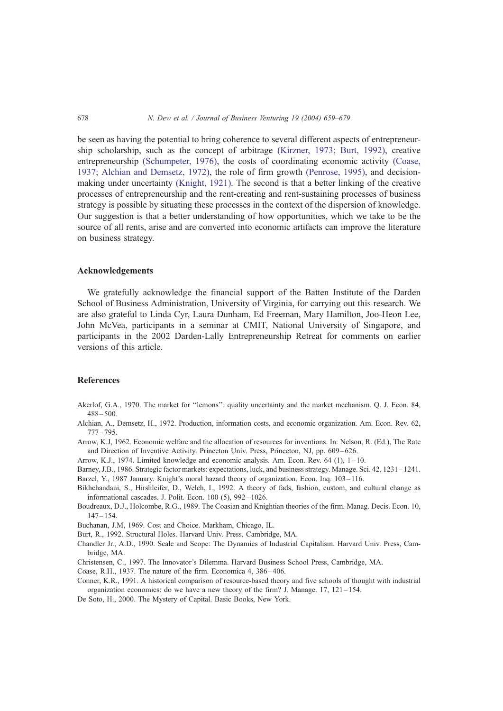be seen as having the potential to bring coherence to several different aspects of entrepreneurship scholarship, such as the concept of arbitrage (Kirzner, 1973; Burt, 1992), creative entrepreneurship (Schumpeter, 1976), the costs of coordinating economic activity (Coase, 1937; Alchian and Demsetz, 1972), the role of firm growth (Penrose, 1995), and decisionmaking under uncertainty (Knight, 1921). The second is that a better linking of the creative processes of entrepreneurship and the rent-creating and rent-sustaining processes of business strategy is possible by situating these processes in the context of the dispersion of knowledge. Our suggestion is that a better understanding of how opportunities, which we take to be the source of all rents, arise and are converted into economic artifacts can improve the literature on business strategy.

#### Acknowledgements

We gratefully acknowledge the financial support of the Batten Institute of the Darden School of Business Administration, University of Virginia, for carrying out this research. We are also grateful to Linda Cyr, Laura Dunham, Ed Freeman, Mary Hamilton, Joo-Heon Lee, John McVea, participants in a seminar at CMIT, National University of Singapore, and participants in the 2002 Darden-Lally Entrepreneurship Retreat for comments on earlier versions of this article.

## References

- Akerlof, G.A., 1970. The market for ''lemons'': quality uncertainty and the market mechanism. Q. J. Econ. 84,  $488 - 500$
- Alchian, A., Demsetz, H., 1972. Production, information costs, and economic organization. Am. Econ. Rev. 62,  $777 - 795$
- Arrow, K.J, 1962. Economic welfare and the allocation of resources for inventions. In: Nelson, R. (Ed.), The Rate and Direction of Inventive Activity. Princeton Univ. Press, Princeton, NJ, pp. 609 – 626.

Arrow, K.J., 1974. Limited knowledge and economic analysis. Am. Econ. Rev.  $64$  (1),  $1-10$ .

- Barney, J.B., 1986. Strategic factor markets: expectations, luck, and business strategy. Manage. Sci. 42, 1231 1241. Barzel, Y., 1987 January. Knight's moral hazard theory of organization. Econ. Inq. 103 – 116.
- Bikhchandani, S., Hirshleifer, D., Welch, I., 1992. A theory of fads, fashion, custom, and cultural change as informational cascades. J. Polit. Econ. 100 (5), 992 – 1026.
- Boudreaux, D.J., Holcombe, R.G., 1989. The Coasian and Knightian theories of the firm. Manag. Decis. Econ. 10,  $147 - 154.$

Buchanan, J.M, 1969. Cost and Choice. Markham, Chicago, IL.

Burt, R., 1992. Structural Holes. Harvard Univ. Press, Cambridge, MA.

Chandler Jr., A.D., 1990. Scale and Scope: The Dynamics of Industrial Capitalism. Harvard Univ. Press, Cambridge, MA.

Christensen, C., 1997. The Innovator's Dilemma. Harvard Business School Press, Cambridge, MA.

Coase, R.H., 1937. The nature of the firm. Economica 4, 386 – 406.

Conner, K.R., 1991. A historical comparison of resource-based theory and five schools of thought with industrial organization economics: do we have a new theory of the firm? J. Manage. 17, 121 – 154.

De Soto, H., 2000. The Mystery of Capital. Basic Books, New York.